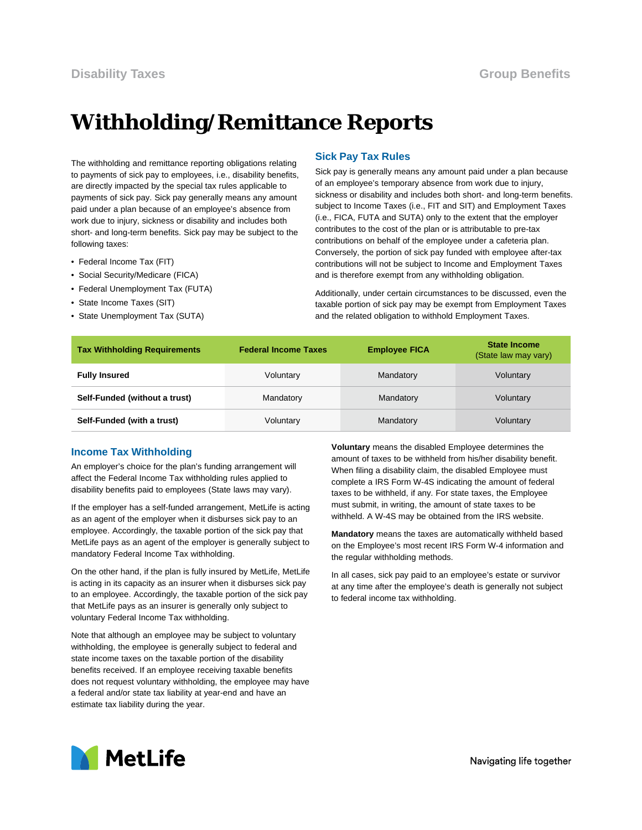# **Withholding/Remittance Reports**

The withholding and remittance reporting obligations relating to payments of sick pay to employees, i.e., disability benefits, are directly impacted by the special tax rules applicable to payments of sick pay. Sick pay generally means any amount paid under a plan because of an employee's absence from work due to injury, sickness or disability and includes both short- and long-term benefits. Sick pay may be subject to the following taxes:

- Federal Income Tax (FIT)
- Social Security/Medicare (FICA)
- Federal Unemployment Tax (FUTA)
- State Income Taxes (SIT)
- State Unemployment Tax (SUTA)

#### **Sick Pay Tax Rules**

Sick pay is generally means any amount paid under a plan because of an employee's temporary absence from work due to injury, sickness or disability and includes both short- and long-term benefits. subject to Income Taxes (i.e., FIT and SIT) and Employment Taxes (i.e., FICA, FUTA and SUTA) only to the extent that the employer contributes to the cost of the plan or is attributable to pre-tax contributions on behalf of the employee under a cafeteria plan. Conversely, the portion of sick pay funded with employee after-tax contributions will not be subject to Income and Employment Taxes and is therefore exempt from any withholding obligation.

Additionally, under certain circumstances to be discussed, even the taxable portion of sick pay may be exempt from Employment Taxes and the related obligation to withhold Employment Taxes.

| <b>Tax Withholding Requirements</b> | <b>Federal Income Taxes</b> | <b>Employee FICA</b> | <b>State Income</b><br>(State law may vary) |
|-------------------------------------|-----------------------------|----------------------|---------------------------------------------|
| <b>Fully Insured</b>                | Voluntary                   | Mandatory            | Voluntary                                   |
| Self-Funded (without a trust)       | Mandatory                   | Mandatory            | Voluntary                                   |
| Self-Funded (with a trust)          | Voluntary                   | Mandatory            | Voluntary                                   |

#### **Income Tax Withholding**

An employer's choice for the plan's funding arrangement will affect the Federal Income Tax withholding rules applied to disability benefits paid to employees (State laws may vary).

If the employer has a self-funded arrangement, MetLife is acting as an agent of the employer when it disburses sick pay to an employee. Accordingly, the taxable portion of the sick pay that MetLife pays as an agent of the employer is generally subject to mandatory Federal Income Tax withholding.

On the other hand, if the plan is fully insured by MetLife, MetLife is acting in its capacity as an insurer when it disburses sick pay to an employee. Accordingly, the taxable portion of the sick pay that MetLife pays as an insurer is generally only subject to voluntary Federal Income Tax withholding.

Note that although an employee may be subject to voluntary withholding, the employee is generally subject to federal and state income taxes on the taxable portion of the disability benefits received. If an employee receiving taxable benefits does not request voluntary withholding, the employee may have a federal and/or state tax liability at year-end and have an estimate tax liability during the year.

**Voluntary** means the disabled Employee determines the amount of taxes to be withheld from his/her disability benefit. When filing a disability claim, the disabled Employee must complete a IRS Form W-4S indicating the amount of federal taxes to be withheld, if any. For state taxes, the Employee must submit, in writing, the amount of state taxes to be withheld. A W-4S may be obtained from the IRS website.

**Mandatory** means the taxes are automatically withheld based on the Employee's most recent IRS Form W-4 information and the regular withholding methods.

In all cases, sick pay paid to an employee's estate or survivor at any time after the employee's death is generally not subject to federal income tax withholding.

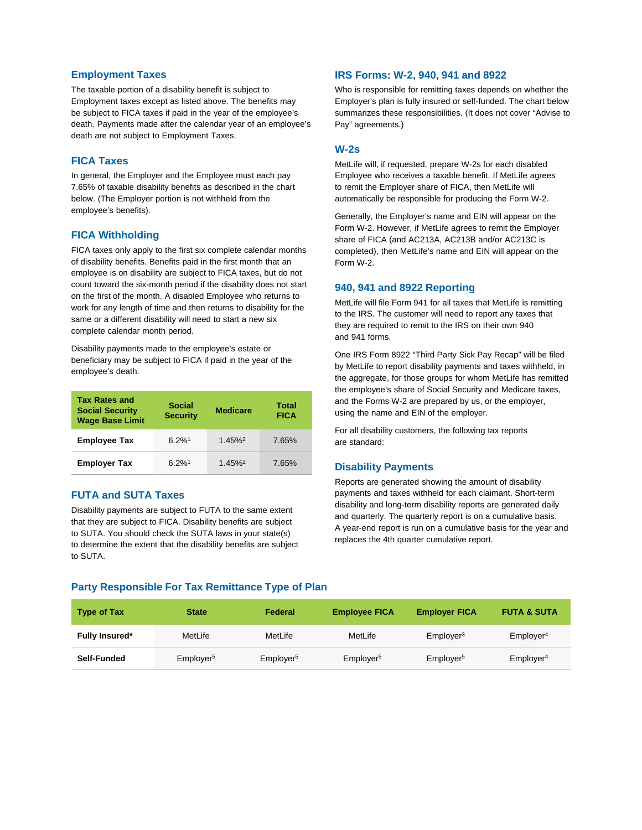#### **Employment Taxes**

The taxable portion of a disability benefit is subject to Employment taxes except as listed above. The benefits may be subject to FICA taxes if paid in the year of the employee's death. Payments made after the calendar year of an employee's death are not subject to Employment Taxes.

#### **FICA Taxes**

In general, the Employer and the Employee must each pay 7.65% of taxable disability benefits as described in the chart below. (The Employer portion is not withheld from the employee's benefits).

#### **FICA Withholding**

FICA taxes only apply to the first six complete calendar months of disability benefits. Benefits paid in the first month that an employee is on disability are subject to FICA taxes, but do not count toward the six-month period if the disability does not start on the first of the month. A disabled Employee who returns to work for any length of time and then returns to disability for the same or a different disability will need to start a new six complete calendar month period.

Disability payments made to the employee's estate or beneficiary may be subject to FICA if paid in the year of the employee's death.

| <b>Tax Rates and</b><br><b>Social Security</b><br><b>Wage Base Limit</b> | <b>Social</b><br><b>Medicare</b><br><b>Security</b> |                       | Total<br><b>FICA</b> |
|--------------------------------------------------------------------------|-----------------------------------------------------|-----------------------|----------------------|
| <b>Employee Tax</b>                                                      | $6.2\%$ <sup>1</sup>                                | $1.45\%$ <sup>2</sup> | 7.65%                |
| <b>Employer Tax</b>                                                      | $6.2%$ <sup>1</sup>                                 | $1.45\%$ <sup>2</sup> | 7.65%                |

## **FUTA and SUTA Taxes**

Disability payments are subject to FUTA to the same extent that they are subject to FICA. Disability benefits are subject to SUTA. You should check the SUTA laws in your state(s) to determine the extent that the disability benefits are subject to SUTA.

#### **IRS Forms: W-2, 940, 941 and 8922**

Who is responsible for remitting taxes depends on whether the Employer's plan is fully insured or self-funded. The chart below summarizes these responsibilities. (It does not cover "Advise to Pay" agreements.)

#### **W-2s**

MetLife will, if requested, prepare W-2s for each disabled Employee who receives a taxable benefit. If MetLife agrees to remit the Employer share of FICA, then MetLife will automatically be responsible for producing the Form W-2.

Generally, the Employer's name and EIN will appear on the Form W-2. However, if MetLife agrees to remit the Employer share of FICA (and AC213A, AC213B and/or AC213C is completed), then MetLife's name and EIN will appear on the Form W-2.

#### **940, 941 and 8922 Reporting**

MetLife will file Form 941 for all taxes that MetLife is remitting to the IRS. The customer will need to report any taxes that they are required to remit to the IRS on their own 940 and 941 forms.

One IRS Form 8922 "Third Party Sick Pay Recap" will be filed by MetLife to report disability payments and taxes withheld, in the aggregate, for those groups for whom MetLife has remitted the employee's share of Social Security and Medicare taxes, and the Forms W-2 are prepared by us, or the employer, using the name and EIN of the employer.

For all disability customers, the following tax reports are standard:

#### **Disability Payments**

Reports are generated showing the amount of disability payments and taxes withheld for each claimant. Short-term disability and long-term disability reports are generated daily and quarterly. The quarterly report is on a cumulative basis. A year-end report is run on a cumulative basis for the year and replaces the 4th quarter cumulative report.

### **Party Responsible For Tax Remittance Type of Plan**

| <b>Type of Tax</b>    | <b>State</b>          | Federal               | <b>Employee FICA</b>  | <b>Employer FICA</b>  | <b>FUTA &amp; SUTA</b> |
|-----------------------|-----------------------|-----------------------|-----------------------|-----------------------|------------------------|
| <b>Fully Insured*</b> | MetLife               | MetLife               | MetLife               | Emplover <sup>3</sup> | Emplover <sup>4</sup>  |
| Self-Funded           | Employer <sup>5</sup> | Employer <sup>5</sup> | Employer <sup>5</sup> | Employer <sup>5</sup> | Emplover <sup>4</sup>  |